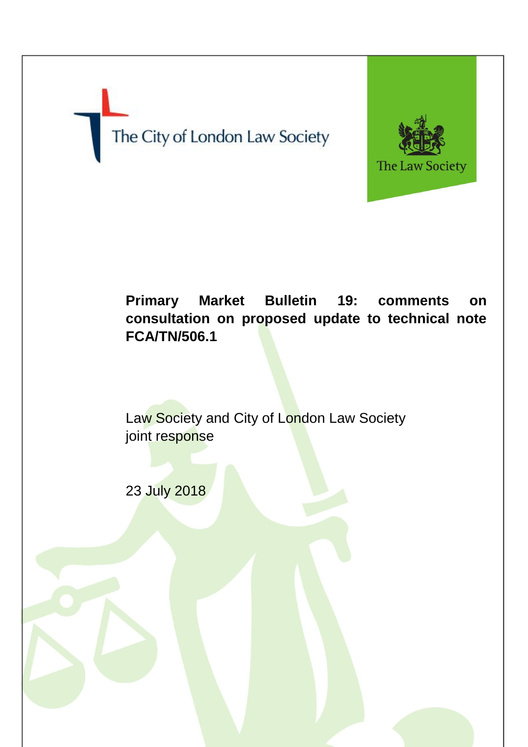



# **Primary Market Bulletin 19: comments on consultation on proposed update to technical note FCA/TN/506.1**

Law Society and City of London Law Society joint response

23 July 2018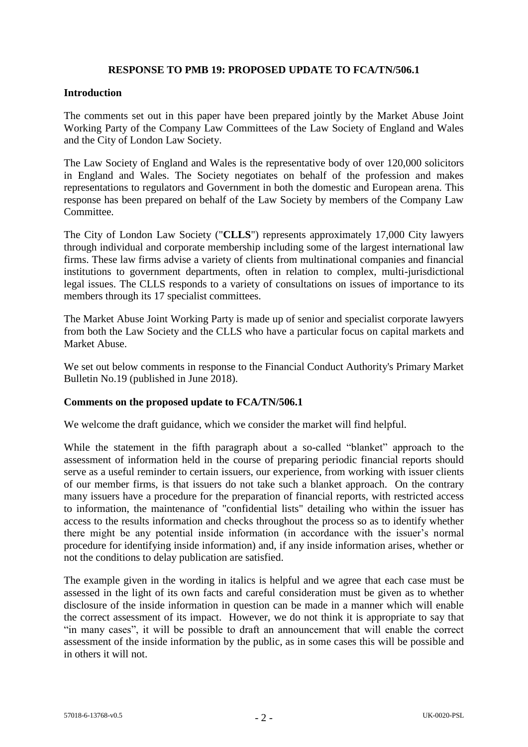## **RESPONSE TO PMB 19: PROPOSED UPDATE TO FCA/TN/506.1**

#### **Introduction**

The comments set out in this paper have been prepared jointly by the Market Abuse Joint Working Party of the Company Law Committees of the Law Society of England and Wales and the City of London Law Society.

The Law Society of England and Wales is the representative body of over 120,000 solicitors in England and Wales. The Society negotiates on behalf of the profession and makes representations to regulators and Government in both the domestic and European arena. This response has been prepared on behalf of the Law Society by members of the Company Law Committee.

The City of London Law Society ("**CLLS**") represents approximately 17,000 City lawyers through individual and corporate membership including some of the largest international law firms. These law firms advise a variety of clients from multinational companies and financial institutions to government departments, often in relation to complex, multi-jurisdictional legal issues. The CLLS responds to a variety of consultations on issues of importance to its members through its 17 specialist committees.

The Market Abuse Joint Working Party is made up of senior and specialist corporate lawyers from both the Law Society and the CLLS who have a particular focus on capital markets and Market Abuse.

We set out below comments in response to the Financial Conduct Authority's Primary Market Bulletin No.19 (published in June 2018).

### **Comments on the proposed update to FCA/TN/506.1**

We welcome the draft guidance, which we consider the market will find helpful.

While the statement in the fifth paragraph about a so-called "blanket" approach to the assessment of information held in the course of preparing periodic financial reports should serve as a useful reminder to certain issuers, our experience, from working with issuer clients of our member firms, is that issuers do not take such a blanket approach. On the contrary many issuers have a procedure for the preparation of financial reports, with restricted access to information, the maintenance of "confidential lists" detailing who within the issuer has access to the results information and checks throughout the process so as to identify whether there might be any potential inside information (in accordance with the issuer's normal procedure for identifying inside information) and, if any inside information arises, whether or not the conditions to delay publication are satisfied.

The example given in the wording in italics is helpful and we agree that each case must be assessed in the light of its own facts and careful consideration must be given as to whether disclosure of the inside information in question can be made in a manner which will enable the correct assessment of its impact. However, we do not think it is appropriate to say that "in many cases", it will be possible to draft an announcement that will enable the correct assessment of the inside information by the public, as in some cases this will be possible and in others it will not.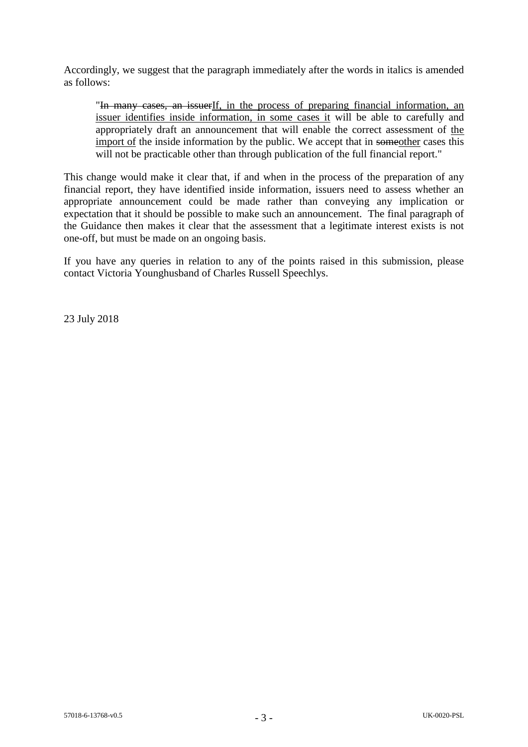Accordingly, we suggest that the paragraph immediately after the words in italics is amended as follows:

"In many cases, an issuerIf, in the process of preparing financial information, an issuer identifies inside information, in some cases it will be able to carefully and appropriately draft an announcement that will enable the correct assessment of the import of the inside information by the public. We accept that in someother cases this will not be practicable other than through publication of the full financial report."

This change would make it clear that, if and when in the process of the preparation of any financial report, they have identified inside information, issuers need to assess whether an appropriate announcement could be made rather than conveying any implication or expectation that it should be possible to make such an announcement. The final paragraph of the Guidance then makes it clear that the assessment that a legitimate interest exists is not one-off, but must be made on an ongoing basis.

If you have any queries in relation to any of the points raised in this submission, please contact Victoria Younghusband of Charles Russell Speechlys.

23 July 2018